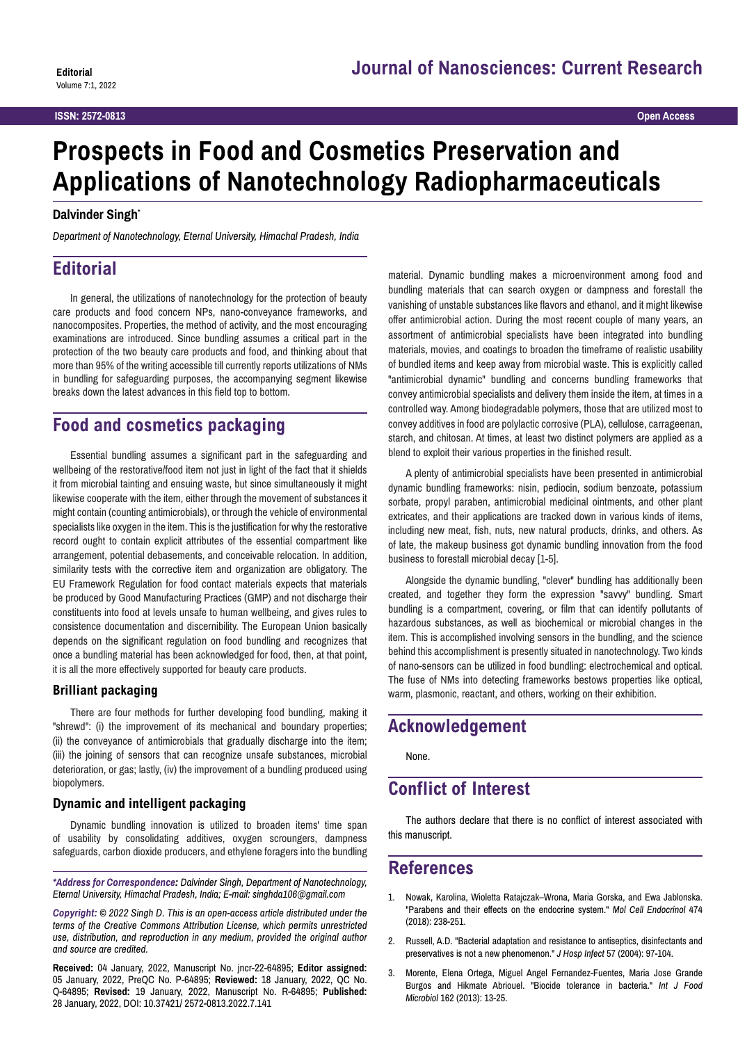# **Prospects in Food and Cosmetics Preservation and Applications of Nanotechnology Radiopharmaceuticals**

#### **Dalvinder Singh\***

*Department of Nanotechnology, Eternal University, Himachal Pradesh, India*

### **Editorial**

In general, the utilizations of nanotechnology for the protection of beauty care products and food concern NPs, nano-conveyance frameworks, and nanocomposites. Properties, the method of activity, and the most encouraging examinations are introduced. Since bundling assumes a critical part in the protection of the two beauty care products and food, and thinking about that more than 95% of the writing accessible till currently reports utilizations of NMs in bundling for safeguarding purposes, the accompanying segment likewise breaks down the latest advances in this field top to bottom.

### **Food and cosmetics packaging**

Essential bundling assumes a significant part in the safeguarding and wellbeing of the restorative/food item not just in light of the fact that it shields it from microbial tainting and ensuing waste, but since simultaneously it might likewise cooperate with the item, either through the movement of substances it might contain (counting antimicrobials), or through the vehicle of environmental specialists like oxygen in the item. This is the justification for why the restorative record ought to contain explicit attributes of the essential compartment like arrangement, potential debasements, and conceivable relocation. In addition, similarity tests with the corrective item and organization are obligatory. The EU Framework Regulation for food contact materials expects that materials be produced by Good Manufacturing Practices (GMP) and not discharge their constituents into food at levels unsafe to human wellbeing, and gives rules to consistence documentation and discernibility. The European Union basically depends on the significant regulation on food bundling and recognizes that once a bundling material has been acknowledged for food, then, at that point, it is all the more effectively supported for beauty care products.

#### **Brilliant packaging**

There are four methods for further developing food bundling, making it "shrewd": (i) the improvement of its mechanical and boundary properties; (ii) the conveyance of antimicrobials that gradually discharge into the item; (iii) the joining of sensors that can recognize unsafe substances, microbial deterioration, or gas; lastly, (iv) the improvement of a bundling produced using biopolymers.

#### **Dynamic and intelligent packaging**

Dynamic bundling innovation is utilized to broaden items' time span of usability by consolidating additives, oxygen scroungers, dampness safeguards, carbon dioxide producers, and ethylene foragers into the bundling

*\*Address for Correspondence: Dalvinder Singh, Department of Nanotechnology, Eternal University, Himachal Pradesh, India; E-mail: singhda106@gmail.com*

*Copyright: © 2022 Singh D. This is an open-access article distributed under the terms of the Creative Commons Attribution License, which permits unrestricted use, distribution, and reproduction in any medium, provided the original author and source are credited.*

**Received:** 04 January, 2022, Manuscript No. jncr-22-64895; **Editor assigned:**  05 January, 2022, PreQC No. P-64895; **Reviewed:** 18 January, 2022, QC No. Q-64895; **Revised:** 19 January, 2022, Manuscript No. R-64895; **Published:**  28 January, 2022, DOI: 10.37421/ 2572-0813.2022.7.141

material. Dynamic bundling makes a microenvironment among food and bundling materials that can search oxygen or dampness and forestall the vanishing of unstable substances like flavors and ethanol, and it might likewise offer antimicrobial action. During the most recent couple of many years, an assortment of antimicrobial specialists have been integrated into bundling materials, movies, and coatings to broaden the timeframe of realistic usability of bundled items and keep away from microbial waste. This is explicitly called "antimicrobial dynamic" bundling and concerns bundling frameworks that convey antimicrobial specialists and delivery them inside the item, at times in a controlled way. Among biodegradable polymers, those that are utilized most to convey additives in food are polylactic corrosive (PLA), cellulose, carrageenan, starch, and chitosan. At times, at least two distinct polymers are applied as a blend to exploit their various properties in the finished result.

A plenty of antimicrobial specialists have been presented in antimicrobial dynamic bundling frameworks: nisin, pediocin, sodium benzoate, potassium sorbate, propyl paraben, antimicrobial medicinal ointments, and other plant extricates, and their applications are tracked down in various kinds of items, including new meat, fish, nuts, new natural products, drinks, and others. As of late, the makeup business got dynamic bundling innovation from the food business to forestall microbial decay [1-5].

Alongside the dynamic bundling, "clever" bundling has additionally been created, and together they form the expression "savvy" bundling. Smart bundling is a compartment, covering, or film that can identify pollutants of hazardous substances, as well as biochemical or microbial changes in the item. This is accomplished involving sensors in the bundling, and the science behind this accomplishment is presently situated in nanotechnology. Two kinds of nano-sensors can be utilized in food bundling: electrochemical and optical. The fuse of NMs into detecting frameworks bestows properties like optical, warm, plasmonic, reactant, and others, working on their exhibition.

### **Acknowledgement**

None.

## **Conflict of Interest**

The authors declare that there is no conflict of interest associated with this manuscript.

### **References**

- 1. Nowak, Karolina, Wioletta Ratajczak–Wrona, Maria Gorska, and Ewa Jablonska. "[Parabens and their effects on the endocrine system.](https://pubmed.ncbi.nlm.nih.gov/29596967/)" *Mol Cell Endocrinol* 474 (2018): 238-251.
- 2. Russell, A.D. "[Bacterial adaptation and resistance to antiseptics, disinfectants and](https://pubmed.ncbi.nlm.nih.gov/15183238/)  [preservatives is not a new phenomenon.](https://pubmed.ncbi.nlm.nih.gov/15183238/)" *J Hosp Infect* 57 (2004): 97-104.
- 3. Morente, Elena Ortega, Miguel Angel Fernandez-Fuentes, Maria Jose Grande Burgos and Hikmate Abriouel. "[Biocide tolerance in bacteria.](https://pubmed.ncbi.nlm.nih.gov/23340387/#:~:text=If biocide tolerance becomes increasingly,microorganisms%2C which can only be)" *Int J Food Microbiol* 162 (2013): 13-25.